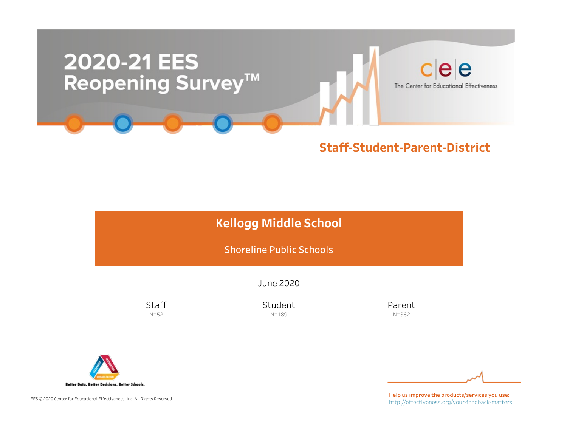

### Staff-Student-Parent-District

|  | <b>Kellogg Middle School</b> |
|--|------------------------------|
|--|------------------------------|

**Shoreline Public Schools** 

June2020

**Staff** N=52

Student N=189

Parent N=362



EES © 2020 Center for Educational Effectiveness, Inc. All Rights Reserved.

Help us improve the products/services you use: http://effectiveness.org/your-feedback-matters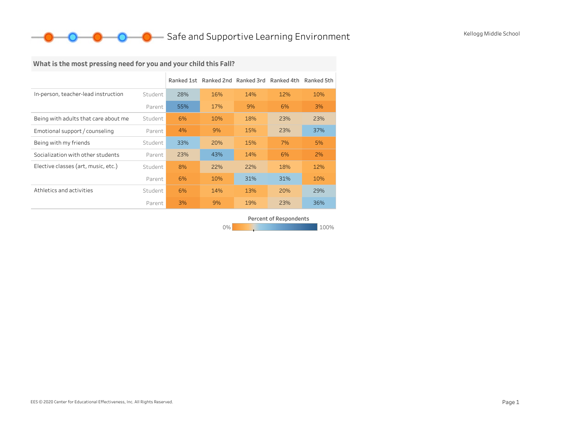### O Safe and Supportive Learning Environment Kellogg Middle School

### What is the most pressing need for you and your child this Fall?

|                                      |         |     | Ranked 1st Ranked 2nd Ranked 3rd Ranked 4th Ranked 5th |     |     |     |
|--------------------------------------|---------|-----|--------------------------------------------------------|-----|-----|-----|
| In-person, teacher-lead instruction  | Student | 28% | 16%                                                    | 14% | 12% | 10% |
|                                      | Parent  | 55% | 17%                                                    | 9%  | 6%  | 3%  |
| Being with adults that care about me | Student | 6%  | 10%                                                    | 18% | 23% | 23% |
| Emotional support / counseling       | Parent  | 4%  | 9%                                                     | 15% | 23% | 37% |
| Being with my friends                | Student | 33% | 20%                                                    | 15% | 7%  | 5%  |
| Socialization with other students    | Parent  | 23% | 43%                                                    | 14% | 6%  | 2%  |
| Elective classes (art, music, etc.)  | Student | 8%  | 22%                                                    | 22% | 18% | 12% |
|                                      | Parent  | 6%  | 10%                                                    | 31% | 31% | 10% |
| Athletics and activities             | Student | 6%  | 14%                                                    | 13% | 20% | 29% |
|                                      | Parent  | 3%  | 9%                                                     | 19% | 23% | 36% |

Percent of Respondents

0% 100% 100% 100% 100%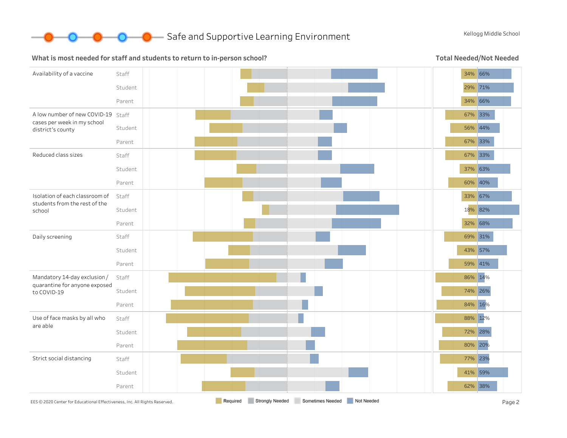

#### What is most needed for staff and students to return to in-person school?

Total Needed/Not Needed

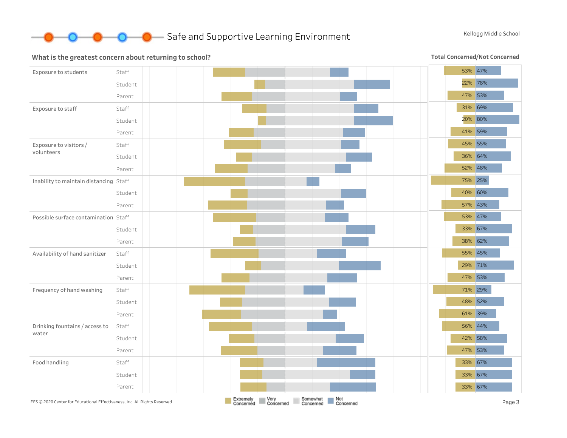

#### What is the greatest concern about returning to school?

Total Concerned/Not Concerned

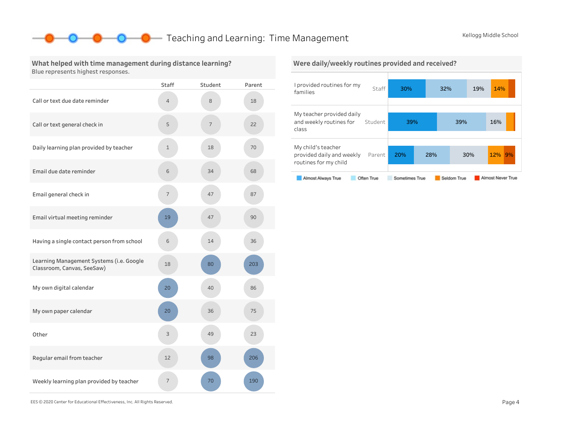### **O** Teaching and Learning: Time Management Kellogg Middle School

#### What helped with time management during distance learning? Blue represents highest responses.

|                                                                        | <b>Staff</b> | Student | Parent |
|------------------------------------------------------------------------|--------------|---------|--------|
| Call or text due date reminder                                         | 4            | 8       | 18     |
| Call or text general check in                                          | 5            | 7       | 22     |
| Daily learning plan provided by teacher                                | $\mathbf{1}$ | 18      | 70     |
| Email due date reminder                                                | 6            | 34      | 68     |
| Email general check in                                                 | 7            | 47      | 87     |
| Email virtual meeting reminder                                         | 19           | 47      | 90     |
| Having a single contact person from school                             | 6            | 14      | 36     |
| Learning Management Systems (i.e. Google<br>Classroom, Canvas, SeeSaw) | 18           | 80      | 203    |
| My own digital calendar                                                | 20           | 40      | 86     |
| My own paper calendar                                                  | 20           | 36      | 75     |
| Other                                                                  | 3            | 49      | 23     |
| Regular email from teacher                                             | 12           | 98      | 206    |
| Weekly learning plan provided by teacher                               | 7            | 70      | 190    |

# Were daily/weekly routines provided and received?

| I provided routines for my<br>families                                   | Staff      | 30%            |     | 32%         | 19% | 14%               |    |
|--------------------------------------------------------------------------|------------|----------------|-----|-------------|-----|-------------------|----|
| My teacher provided daily<br>and weekly routines for<br>class            | Student    | 39%            |     | 39%         |     | 16%               |    |
| My child's teacher<br>provided daily and weekly<br>routines for my child | Parent     | 20%            | 28% |             | 30% | 12%               | 9% |
| Almost Always True                                                       | Often True | Sometimes True |     | Seldom True |     | Almost Never True |    |

EES©2020CenterforEducationalEffectiveness,Inc.AllRightsReserved. Page4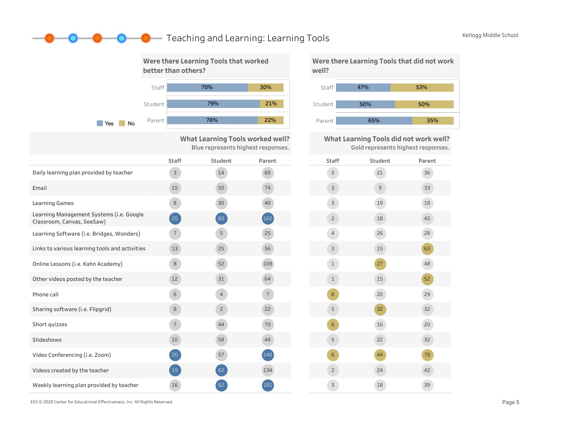### **O** Teaching and Learning: Learning Tools Kellogg Middle School



What Learning Tools worked well? Blue represents highest responses.

|                                                                        | Staff          | Student        | Parent         | Staff          |
|------------------------------------------------------------------------|----------------|----------------|----------------|----------------|
| Daily learning plan provided by teacher                                | $\mathsf{3}$   | 14             | 69             | 5              |
| Email                                                                  | 15             | 50             | 74             | $\mathsf{3}$   |
| <b>Learning Games</b>                                                  | 8              | 30             | 40             | $\mathsf{3}$   |
| Learning Management Systems (i.e. Google<br>Classroom, Canvas, SeeSaw) | 25             | 60             | $(162)$        | $\overline{2}$ |
| Learning Software (i.e. Bridges, Wonders)                              | $7^{\circ}$    | 5              | 25             | $\overline{4}$ |
| Links to various learning tools and activities                         | 13             | 25             | 56             | 3              |
| Online Lessons (i.e. Kahn Academy)                                     | 8              | 52             | 109            | $\mathbf 1$    |
| Other videos posted by the teacher                                     | 12             | 31             | 64             | $\mathbf 1$    |
| Phone call                                                             | 6              | $\overline{4}$ | $\overline{7}$ | 8              |
| Sharing software (i.e. Flipgrid)                                       | 8              | $\overline{c}$ | 22             | 5              |
| Short quizzes                                                          | 7 <sup>7</sup> | 44             | 70             | $6\phantom{1}$ |
| Slideshows                                                             | 10             | 58             | 44             | 5              |
| Video Conferencing (i.e. Zoom)                                         | 20             | 57             | 140            | $6\phantom{1}$ |
| Videos created by the teacher                                          | 19             | 62             | 134            | $\overline{c}$ |
| Weekly learning plan provided by teacher                               | 16             | 62             | 181            | 3              |



What Learning Tools did not work well? Gold represents highest responses.



EES©2020CenterforEducationalEffectiveness,Inc.AllRightsReserved. Page5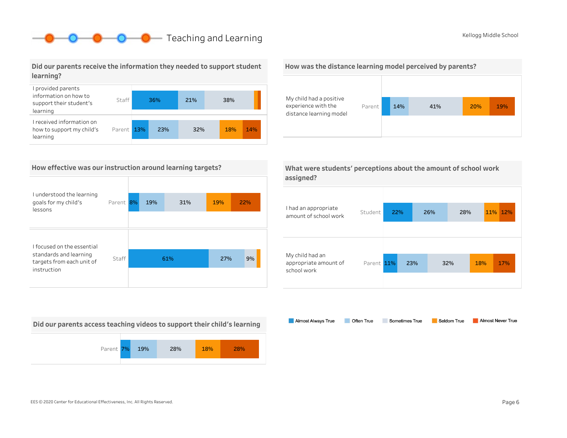### **O** Teaching and Learning The Communication of the Communication of the Communication of the Communication of the Communication of the Communication of the Communication of the Communication of the Communication of the Com

#### Did our parents receive the information they needed to support student learning?



#### How effective was our instruction around learning targets?

| I understood the learning<br>goals for my child's<br>lessons | Parent | 8% | 19% | 31% | 19% | 22% |
|--------------------------------------------------------------|--------|----|-----|-----|-----|-----|
|                                                              |        |    |     |     |     |     |
| I focused on the essential                                   |        |    |     |     |     |     |
| standards and learning<br>targets from each unit of          | Staff  |    |     | 61% | 27% | 9%  |
| instruction                                                  |        |    |     |     |     |     |

Did our parents access teaching videos to support their child's learning







What were students' perceptions about the amount of school work assigned?

| I had an appropriate<br>amount of school work           | Student    | 22% |     | 26% | 28% |     | 11% 12% |
|---------------------------------------------------------|------------|-----|-----|-----|-----|-----|---------|
| My child had an<br>appropriate amount of<br>school work | Parent 11% |     | 23% |     | 32% | 18% | 17%     |

Almost Always True Sometimes True Almost Never True Often True Seldom True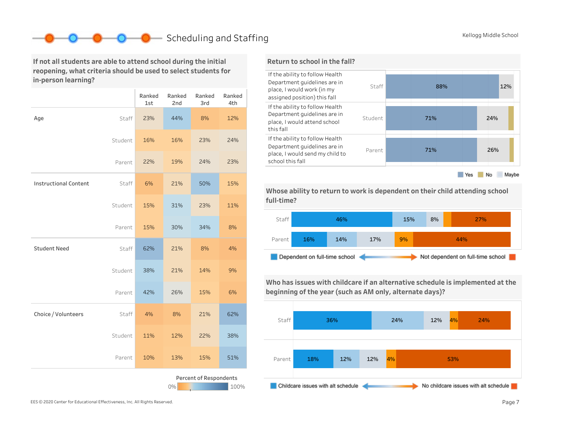### Scheduling and Staffing Kellogg Middle School

If not all students are able to attend school during the initial reopening, what criteria should be used to select students for in-person learning?

|                              |         | Ranked<br>1st | Ranked<br>2nd | Ranked<br>3rd          | Ranked<br>4th |
|------------------------------|---------|---------------|---------------|------------------------|---------------|
| Age                          | Staff   | 23%           | 44%           | 8%                     | 12%           |
|                              | Student | 16%           | 16%           | 23%                    | 24%           |
|                              | Parent  | 22%           | 19%           | 24%                    | 23%           |
| <b>Instructional Content</b> | Staff   | 6%            | 21%           | 50%                    | 15%           |
|                              | Student | 15%           | 31%           | 23%                    | 11%           |
|                              | Parent  | 15%           | 30%           | 34%                    | 8%            |
| <b>Student Need</b>          | Staff   | 62%           | 21%           | 8%                     | 4%            |
|                              | Student | 38%           | 21%           | 14%                    | 9%            |
|                              | Parent  | 42%           | 26%           | 15%                    | 6%            |
| Choice / Volunteers          | Staff   | 4%            | 8%            | 21%                    | 62%           |
|                              | Student | 11%           | 12%           | 22%                    | 38%           |
|                              | Parent  | 10%           | 13%           | 15%                    | 51%           |
|                              |         |               | 0%            | Percent of Respondents | 100%          |

#### Return to school in the fall?



Whose ability to return to work is dependent on their child attending school full-time?



Who has issues with childcare if an alternative schedule is implemented at the beginning of the year (such as AM only, alternate days)?

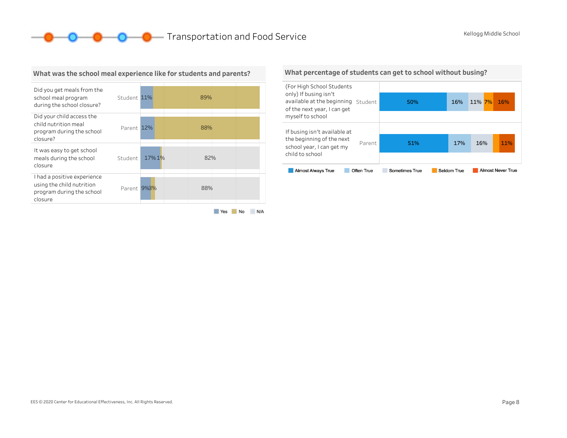**O O O** Transportation and Food Service Kellogg Middle School



What was the school meal experience like for students and parents?

#### What percentage of students can get to school without busing?

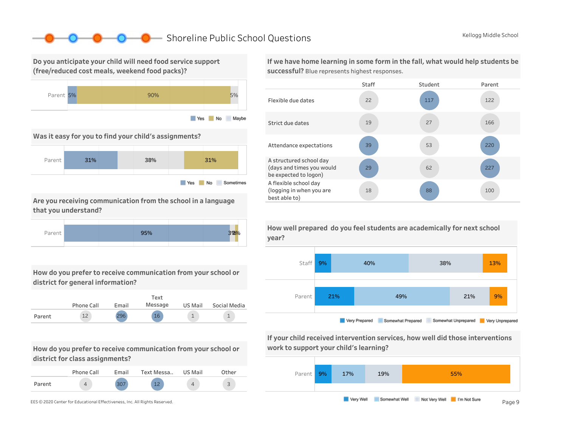### ShorelinePublicSchoolQuestions KelloggMiddleSchool

Do you anticipate your child will need food service support (free/reduced cost meals, weekend food packs)?



Was it easy for you to find your child's assignments?



Are you receiving communication from the school in a language that you understand?



How do you prefer to receive communication from your school or district for general information?



How do you prefer to receive communication from your school or district for class assignments?

|        | Phone Call | <b>Email</b> | Text Messa | US Mail | Other                         |
|--------|------------|--------------|------------|---------|-------------------------------|
| Parent |            |              | 12         |         | $\overline{\phantom{0}}$<br>ت |

If we have home learning in some form in the fall, what would help students be successful? Blue represents highest responses.





Very Prepared Somewhat Prepared Somewhat Unprepared Very Unprepared

If your child received intervention services, how well did those interventions work to support your child's learning?



How well prepared do you feel students are academically for next school year?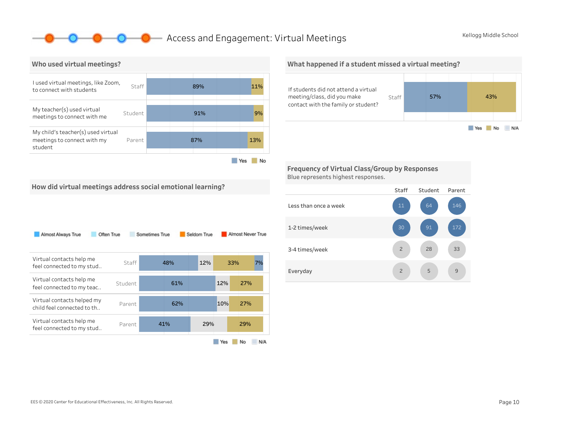### **O** Access and Engagement: Virtual Meetings Kellogg Middle School



#### What happened if a student missed a virtual meeting?



Frequency of Virtual Class/Group by Responses Blue represents highest responses.

How did virtual meetings address social emotional learning?

| Almost Always True                                       | Often True | Sometimes True |     | Seldom True |     | Almost Never True |     |
|----------------------------------------------------------|------------|----------------|-----|-------------|-----|-------------------|-----|
| Virtual contacts help me<br>feel connected to my stud    | Staff      | 48%            |     | 12%         |     | 33%               | 7%  |
| Virtual contacts help me<br>feel connected to my teac    | Student    |                | 61% |             | 12% | 27%               |     |
| Virtual contacts helped my<br>child feel connected to th | Parent     |                | 62% |             | 10% | 27%               |     |
| Virtual contacts help me<br>feel connected to my stud    | Parent     | 41%            |     | 29%         |     | 29%               |     |
|                                                          |            |                |     |             | Yes | No                | N/A |

Staff Student Parent Lessthanonceaweek 1-2times/week 3-4 times/week Everyday 9 33 146 5 28 64 2 2 11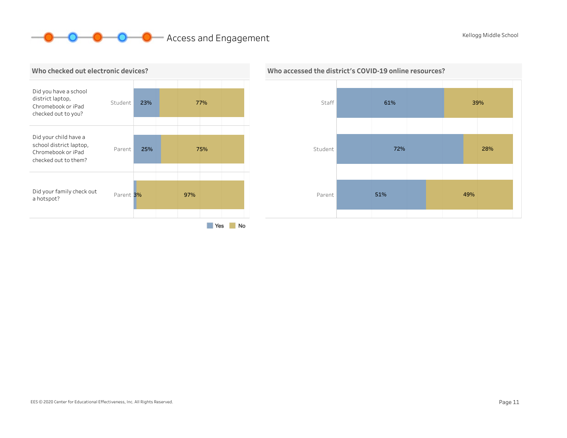# **O O** Access and Engagement Kellogg Middle School Kellogg Middle School





# Who accessed the district's COVID-19 online resources?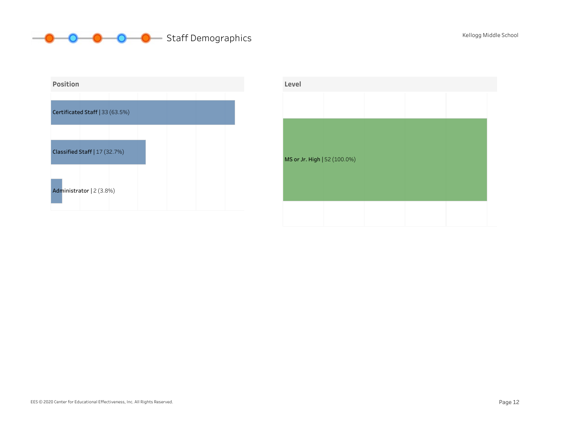# **OCOOO** Staff Demographics Kellogg Middle School



| Level                        |  |  |  |
|------------------------------|--|--|--|
|                              |  |  |  |
|                              |  |  |  |
|                              |  |  |  |
| MS or Jr. High   52 (100.0%) |  |  |  |
|                              |  |  |  |
|                              |  |  |  |
|                              |  |  |  |
|                              |  |  |  |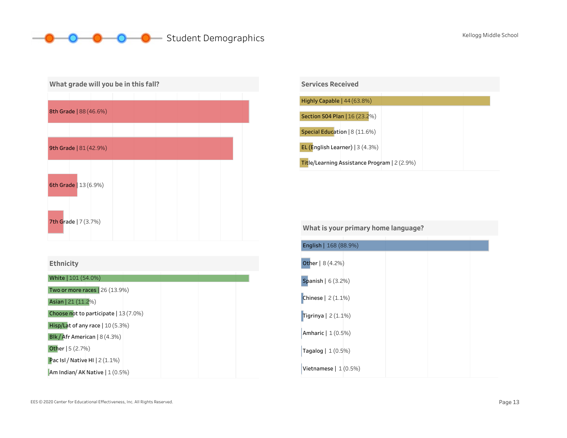## **OCOOOO** Student Demographics Kellogg Middle School

| What grade will you be in this fall? |                        |  |  |  |  |  |  |  |  |
|--------------------------------------|------------------------|--|--|--|--|--|--|--|--|
|                                      |                        |  |  |  |  |  |  |  |  |
|                                      | 8th Grade   88 (46.6%) |  |  |  |  |  |  |  |  |
|                                      |                        |  |  |  |  |  |  |  |  |
|                                      | 9th Grade   81 (42.9%) |  |  |  |  |  |  |  |  |
|                                      |                        |  |  |  |  |  |  |  |  |
|                                      | 6th Grade   13 (6.9%)  |  |  |  |  |  |  |  |  |
|                                      | 7th Grade   7 (3.7%)   |  |  |  |  |  |  |  |  |

White | 101 (54.0%)

Two or more races | 26 (13.9%)

Asian|21(11.2%)

Choose not to participate  $|13(7.0%)$ 

Hisp/Lat of any race | 10 (5.3%)

Blk / Afr American | 8 (4.3%)

Other|5(2.7%)

Pac Isl / Native HI  $2(1.1\%)$ 

Am Indian/ AK Native | 1 (0.5%)

| <b>Services Received</b>                            |
|-----------------------------------------------------|
|                                                     |
| Highly Capable $ 44(63.8%)$                         |
|                                                     |
| Section 504 Plan   16 (23.2%)                       |
| Special Education   8 (11.6%)                       |
| EL (English Learner) $ 3(4.3%)$                     |
| <b>Title/Learning Assistance Program</b> $ 2(2.9%)$ |

| What is your primary home language? |  |  |  |  |
|-------------------------------------|--|--|--|--|
| English   168 (88.9%)               |  |  |  |  |
| Other   8 (4.2%)                    |  |  |  |  |
| <b>Spanish</b> $  6 (3.2%)$         |  |  |  |  |
| Chinese $  2(1.1\%)$                |  |  |  |  |
| Tigrinya $ 2(1.1\%)$                |  |  |  |  |
| Amharic   1 (0.5%)                  |  |  |  |  |
| Tagalog   1 (0.5%)                  |  |  |  |  |
| Vietnamese $ 1(0.5%)$               |  |  |  |  |